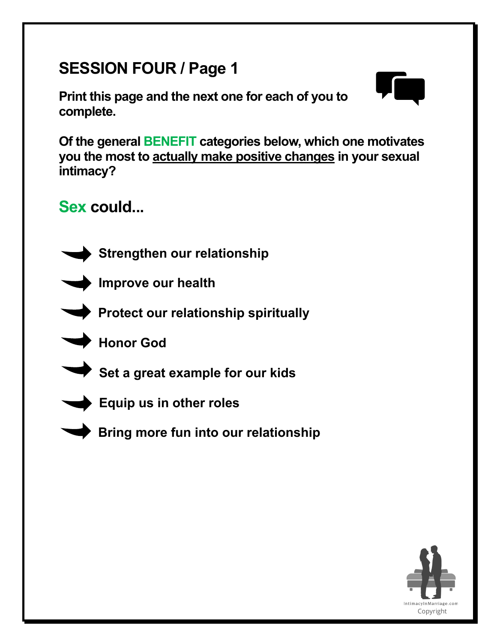# **SESSION FOUR / Page 1**

**Print this page and the next one for each of you to complete.** 



**Of the general BENEFIT categories below, which one motivates you the most to actually make positive changes in your sexual intimacy?** 

**Sex could...**



**Strengthen our relationship**



**Improve our health**



**Protect our relationship spiritually**



**Set a great example for our kids**



**Equip us in other roles**